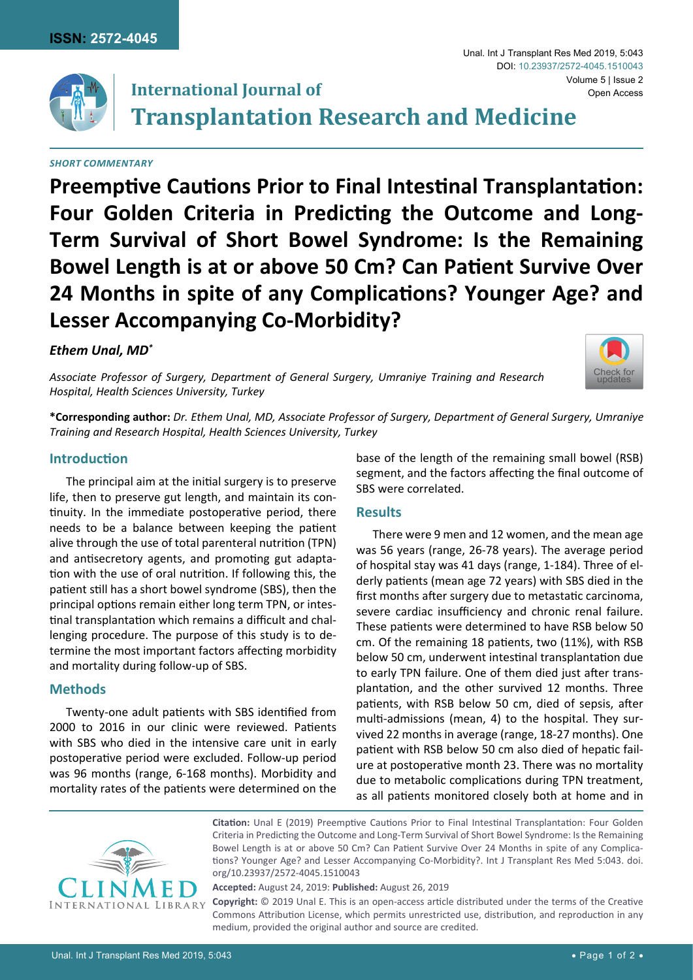

# **International Journal of**

**Transplantation Research and Medicine**

#### *Short Commentary*

**Preemptive Cautions Prior to Final Intestinal Transplantation: Four Golden Criteria in Predicting the Outcome and Long-Term Survival of Short Bowel Syndrome: Is the Remaining Bowel Length is at or above 50 Cm? Can Patient Survive Over 24 Months in spite of any Complications? Younger Age? and Lesser Accompanying Co-Morbidity?**

### *Ethem Unal, MD\**

*Associate Professor of Surgery, Department of General Surgery, Umraniye Training and Research Hospital, Health Sciences University, Turkey*



**\*Corresponding author:** *Dr. Ethem Unal, MD, Associate Professor of Surgery, Department of General Surgery, Umraniye Training and Research Hospital, Health Sciences University, Turkey*

#### **Introduction**

The principal aim at the initial surgery is to preserve life, then to preserve gut length, and maintain its continuity. In the immediate postoperative period, there needs to be a balance between keeping the patient alive through the use of total parenteral nutrition (TPN) and antisecretory agents, and promoting gut adaptation with the use of oral nutrition. If following this, the patient still has a short bowel syndrome (SBS), then the principal options remain either long term TPN, or intestinal transplantation which remains a difficult and challenging procedure. The purpose of this study is to determine the most important factors affecting morbidity and mortality during follow-up of SBS.

## **Methods**

Twenty-one adult patients with SBS identified from 2000 to 2016 in our clinic were reviewed. Patients with SBS who died in the intensive care unit in early postoperative period were excluded. Follow-up period was 96 months (range, 6-168 months). Morbidity and mortality rates of the patients were determined on the base of the length of the remaining small bowel (RSB) segment, and the factors affecting the final outcome of SBS were correlated.

#### **Results**

There were 9 men and 12 women, and the mean age was 56 years (range, 26-78 years). The average period of hospital stay was 41 days (range, 1-184). Three of elderly patients (mean age 72 years) with SBS died in the first months after surgery due to metastatic carcinoma, severe cardiac insufficiency and chronic renal failure. These patients were determined to have RSB below 50 cm. Of the remaining 18 patients, two (11%), with RSB below 50 cm, underwent intestinal transplantation due to early TPN failure. One of them died just after transplantation, and the other survived 12 months. Three patients, with RSB below 50 cm, died of sepsis, after multi-admissions (mean, 4) to the hospital. They survived 22 months in average (range, 18-27 months). One patient with RSB below 50 cm also died of hepatic failure at postoperative month 23. There was no mortality due to metabolic complications during TPN treatment, as all patients monitored closely both at home and in



**Citation:** Unal E (2019) Preemptive Cautions Prior to Final Intestinal Transplantation: Four Golden Criteria in Predicting the Outcome and Long-Term Survival of Short Bowel Syndrome: Is the Remaining Bowel Length is at or above 50 Cm? Can Patient Survive Over 24 Months in spite of any Complications? Younger Age? and Lesser Accompanying Co-Morbidity?. Int J Transplant Res Med 5:043. [doi.](https://doi.org/10.23937/2572-4045.1510043) [org/10.23937/2572-4045.1510043](https://doi.org/10.23937/2572-4045.1510043)

**Accepted:** August 24, 2019: **Published:** August 26, 2019

**Copyright:** © 2019 Unal E. This is an open-access article distributed under the terms of the Creative Commons Attribution License, which permits unrestricted use, distribution, and reproduction in any medium, provided the original author and source are credited.